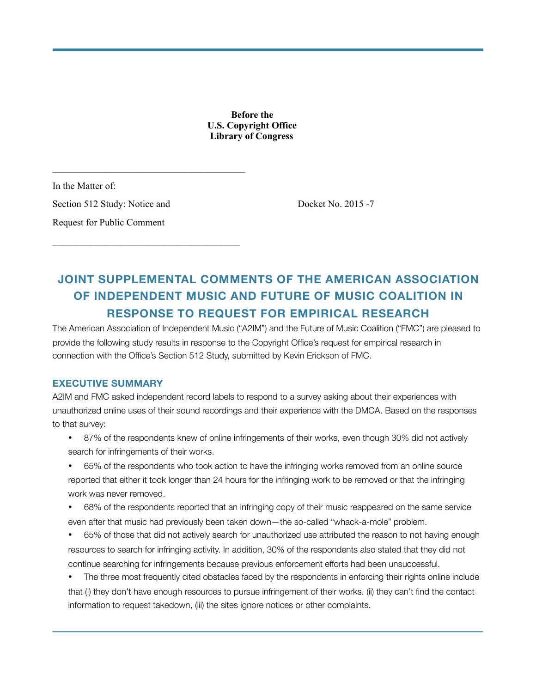**Before the U.S. Copyright Office Library of Congress** 

In the Matter of: Section 512 Study: Notice and Docket No. 2015 -7 Request for Public Comment

 $\mathcal{L}_\text{max}$ 

 $\mathcal{L}_\text{max}$ 

### **JOINT SUPPLEMENTAL COMMENTS OF THE AMERICAN ASSOCIATION OF INDEPENDENT MUSIC AND FUTURE OF MUSIC COALITION IN RESPONSE TO REQUEST FOR EMPIRICAL RESEARCH**

The American Association of Independent Music ("A2IM") and the Future of Music Coalition ("FMC") are pleased to provide the following study results in response to the Copyright Office's request for empirical research in connection with the Office's Section 512 Study, submitted by Kevin Erickson of FMC.

#### **EXECUTIVE SUMMARY**

A2IM and FMC asked independent record labels to respond to a survey asking about their experiences with unauthorized online uses of their sound recordings and their experience with the DMCA. Based on the responses to that survey:

- 87% of the respondents knew of online infringements of their works, even though 30% did not actively search for infringements of their works.
- 65% of the respondents who took action to have the infringing works removed from an online source reported that either it took longer than 24 hours for the infringing work to be removed or that the infringing work was never removed.
- 68% of the respondents reported that an infringing copy of their music reappeared on the same service even after that music had previously been taken down—the so-called "whack-a-mole" problem.
- 65% of those that did not actively search for unauthorized use attributed the reason to not having enough resources to search for infringing activity. In addition, 30% of the respondents also stated that they did not continue searching for infringements because previous enforcement efforts had been unsuccessful.
- The three most frequently cited obstacles faced by the respondents in enforcing their rights online include that (i) they don't have enough resources to pursue infringement of their works. (ii) they can't find the contact information to request takedown, (iii) the sites ignore notices or other complaints.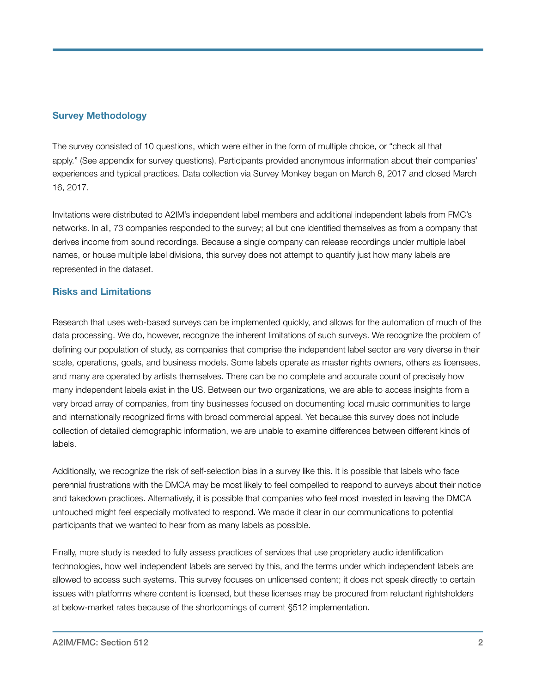#### **Survey Methodology**

The survey consisted of 10 questions, which were either in the form of multiple choice, or "check all that apply." (See appendix for survey questions). Participants provided anonymous information about their companies' experiences and typical practices. Data collection via Survey Monkey began on March 8, 2017 and closed March 16, 2017.

Invitations were distributed to A2IM's independent label members and additional independent labels from FMC's networks. In all, 73 companies responded to the survey; all but one identified themselves as from a company that derives income from sound recordings. Because a single company can release recordings under multiple label names, or house multiple label divisions, this survey does not attempt to quantify just how many labels are represented in the dataset.

#### **Risks and Limitations**

Research that uses web-based surveys can be implemented quickly, and allows for the automation of much of the data processing. We do, however, recognize the inherent limitations of such surveys. We recognize the problem of defining our population of study, as companies that comprise the independent label sector are very diverse in their scale, operations, goals, and business models. Some labels operate as master rights owners, others as licensees, and many are operated by artists themselves. There can be no complete and accurate count of precisely how many independent labels exist in the US. Between our two organizations, we are able to access insights from a very broad array of companies, from tiny businesses focused on documenting local music communities to large and internationally recognized firms with broad commercial appeal. Yet because this survey does not include collection of detailed demographic information, we are unable to examine differences between different kinds of labels.

Additionally, we recognize the risk of self-selection bias in a survey like this. It is possible that labels who face perennial frustrations with the DMCA may be most likely to feel compelled to respond to surveys about their notice and takedown practices. Alternatively, it is possible that companies who feel most invested in leaving the DMCA untouched might feel especially motivated to respond. We made it clear in our communications to potential participants that we wanted to hear from as many labels as possible.

Finally, more study is needed to fully assess practices of services that use proprietary audio identification technologies, how well independent labels are served by this, and the terms under which independent labels are allowed to access such systems. This survey focuses on unlicensed content; it does not speak directly to certain issues with platforms where content is licensed, but these licenses may be procured from reluctant rightsholders at below-market rates because of the shortcomings of current §512 implementation.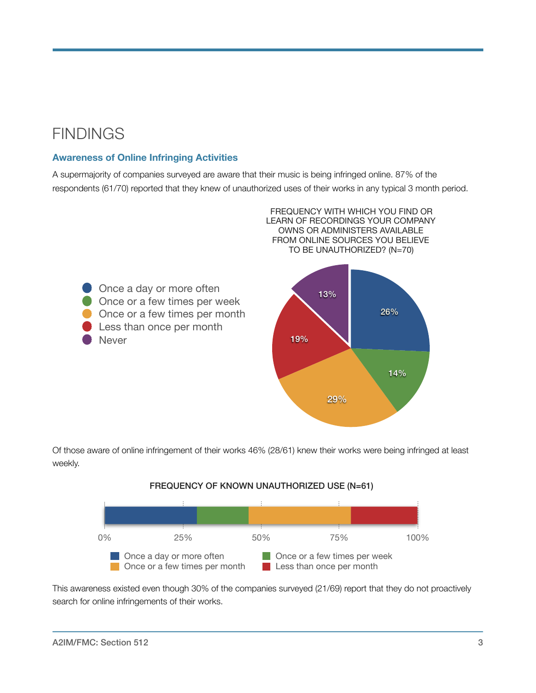## **FINDINGS**

#### **Awareness of Online Infringing Activities**

A supermajority of companies surveyed are aware that their music is being infringed online. 87% of the respondents (61/70) reported that they knew of unauthorized uses of their works in any typical 3 month period.



Of those aware of online infringement of their works 46% (28/61) knew their works were being infringed at least weekly.



This awareness existed even though 30% of the companies surveyed (21/69) report that they do not proactively search for online infringements of their works.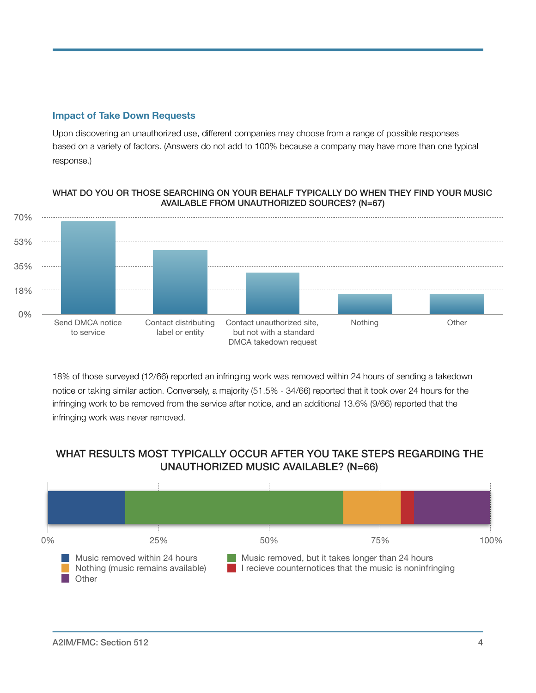#### **Impact of Take Down Requests**

Upon discovering an unauthorized use, different companies may choose from a range of possible responses based on a variety of factors. (Answers do not add to 100% because a company may have more than one typical response.)

#### WHAT DO YOU OR THOSE SEARCHING ON YOUR BEHALF TYPICALLY DO WHEN THEY FIND YOUR MUSIC AVAILABLE FROM UNAUTHORIZED SOURCES? (N=67)



18% of those surveyed (12/66) reported an infringing work was removed within 24 hours of sending a takedown notice or taking similar action. Conversely, a majority (51.5% - 34/66) reported that it took over 24 hours for the infringing work to be removed from the service after notice, and an additional 13.6% (9/66) reported that the infringing work was never removed.

#### WHAT RESULTS MOST TYPICALLY OCCUR AFTER YOU TAKE STEPS REGARDING THE UNAUTHORIZED MUSIC AVAILABLE? (N=66)

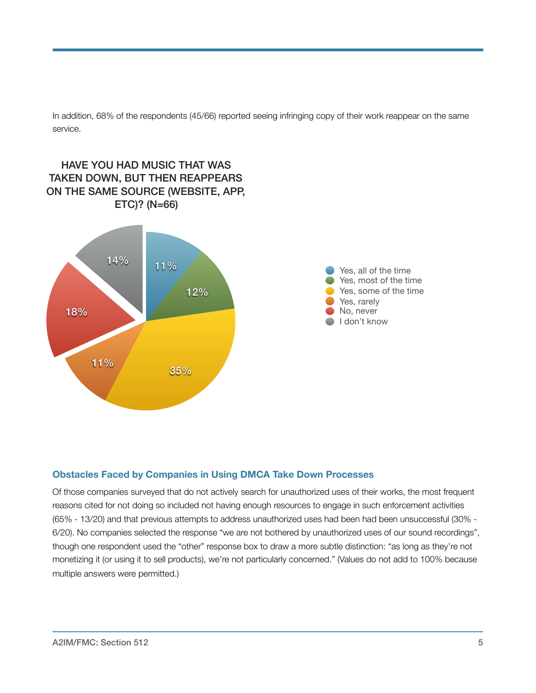In addition, 68% of the respondents (45/66) reported seeing infringing copy of their work reappear on the same service.



#### **Obstacles Faced by Companies in Using DMCA Take Down Processes**

Of those companies surveyed that do not actively search for unauthorized uses of their works, the most frequent reasons cited for not doing so included not having enough resources to engage in such enforcement activities (65% - 13/20) and that previous attempts to address unauthorized uses had been had been unsuccessful (30% - 6/20). No companies selected the response "we are not bothered by unauthorized uses of our sound recordings", though one respondent used the "other" response box to draw a more subtle distinction: "as long as they're not monetizing it (or using it to sell products), we're not particularly concerned." (Values do not add to 100% because multiple answers were permitted.)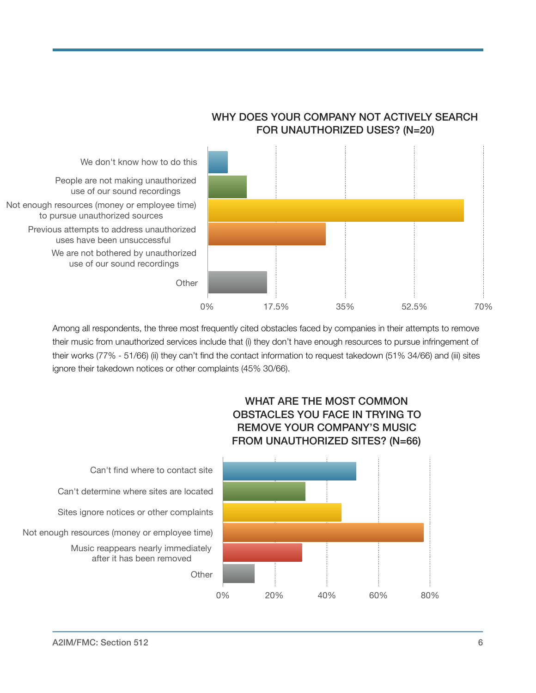

WHY DOES YOUR COMPANY NOT ACTIVELY SEARCH FOR UNAUTHORIZED USES? (N=20)

Among all respondents, the three most frequently cited obstacles faced by companies in their attempts to remove their music from unauthorized services include that (i) they don't have enough resources to pursue infringement of their works (77% - 51/66) (ii) they can't find the contact information to request takedown (51% 34/66) and (iii) sites ignore their takedown notices or other complaints (45% 30/66).



WHAT ARE THE MOST COMMON OBSTACLES YOU FACE IN TRYING TO

Can't find where to contact site Can't determine where sites are located Sites ignore notices or other complaints Not enough resources (money or employee time) Music reappears nearly immediately after it has been removed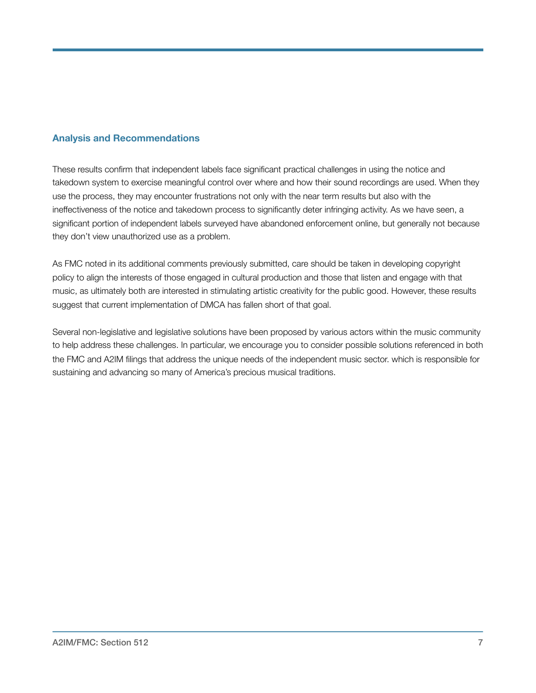#### **Analysis and Recommendations**

These results confirm that independent labels face significant practical challenges in using the notice and takedown system to exercise meaningful control over where and how their sound recordings are used. When they use the process, they may encounter frustrations not only with the near term results but also with the ineffectiveness of the notice and takedown process to significantly deter infringing activity. As we have seen, a significant portion of independent labels surveyed have abandoned enforcement online, but generally not because they don't view unauthorized use as a problem.

As FMC noted in its additional comments previously submitted, care should be taken in developing copyright policy to align the interests of those engaged in cultural production and those that listen and engage with that music, as ultimately both are interested in stimulating artistic creativity for the public good. However, these results suggest that current implementation of DMCA has fallen short of that goal.

Several non-legislative and legislative solutions have been proposed by various actors within the music community to help address these challenges. In particular, we encourage you to consider possible solutions referenced in both the FMC and A2IM filings that address the unique needs of the independent music sector. which is responsible for sustaining and advancing so many of America's precious musical traditions.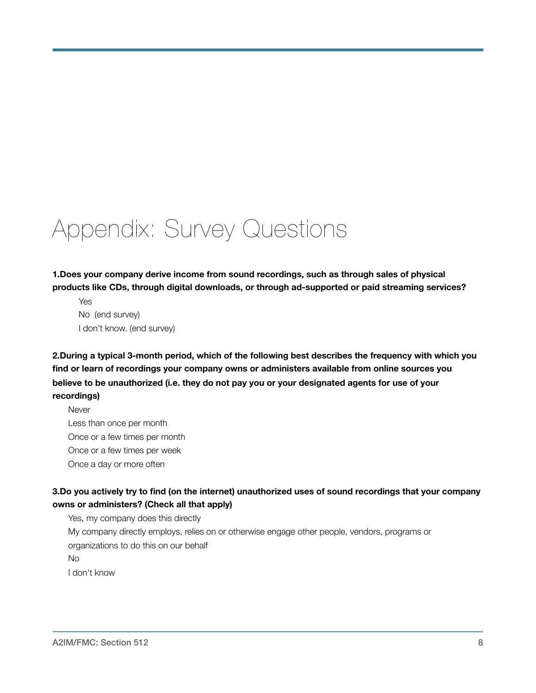# Appendix: Survey Questions

**1.Does your company derive income from sound recordings, such as through sales of physical products like CDs, through digital downloads, or through ad-supported or paid streaming services?**

Yes No (end survey) I don't know. (end survey)

**2.During a typical 3-month period, which of the following best describes the frequency with which you find or learn of recordings your company owns or administers available from online sources you believe to be unauthorized (i.e. they do not pay you or your designated agents for use of your recordings)**

**Never** Less than once per month Once or a few times per month Once or a few times per week Once a day or more often

#### **3.Do you actively try to find (on the internet) unauthorized uses of sound recordings that your company owns or administers? (Check all that apply)**

Yes, my company does this directly My company directly employs, relies on or otherwise engage other people, vendors, programs or organizations to do this on our behalf No I don't know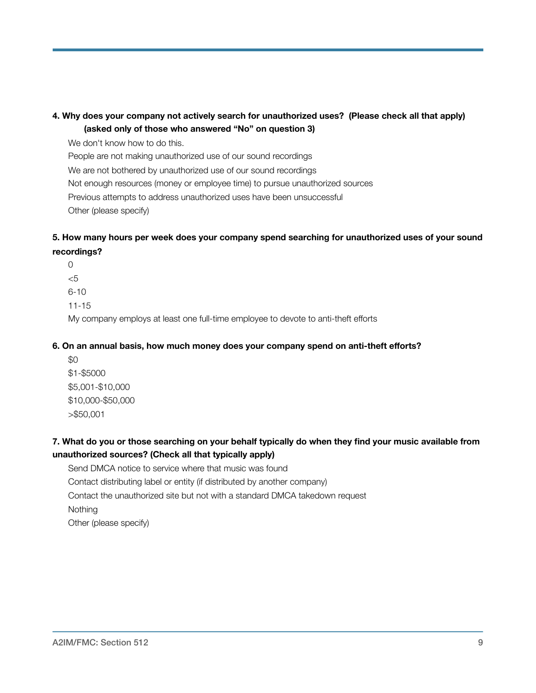#### **4. Why does your company not actively search for unauthorized uses? (Please check all that apply) (asked only of those who answered "No" on question 3)**

We don't know how to do this.

People are not making unauthorized use of our sound recordings

We are not bothered by unauthorized use of our sound recordings

Not enough resources (money or employee time) to pursue unauthorized sources

Previous attempts to address unauthorized uses have been unsuccessful

Other (please specify)

#### **5. How many hours per week does your company spend searching for unauthorized uses of your sound recordings?**

0 <5 6-10

11-15

My company employs at least one full-time employee to devote to anti-theft efforts

#### **6. On an annual basis, how much money does your company spend on anti-theft efforts?**

 $$0$ \$1-\$5000 \$5,001-\$10,000 \$10,000-\$50,000 >\$50,001

#### **7. What do you or those searching on your behalf typically do when they find your music available from unauthorized sources? (Check all that typically apply)**

Send DMCA notice to service where that music was found Contact distributing label or entity (if distributed by another company) Contact the unauthorized site but not with a standard DMCA takedown request **Nothing** Other (please specify)